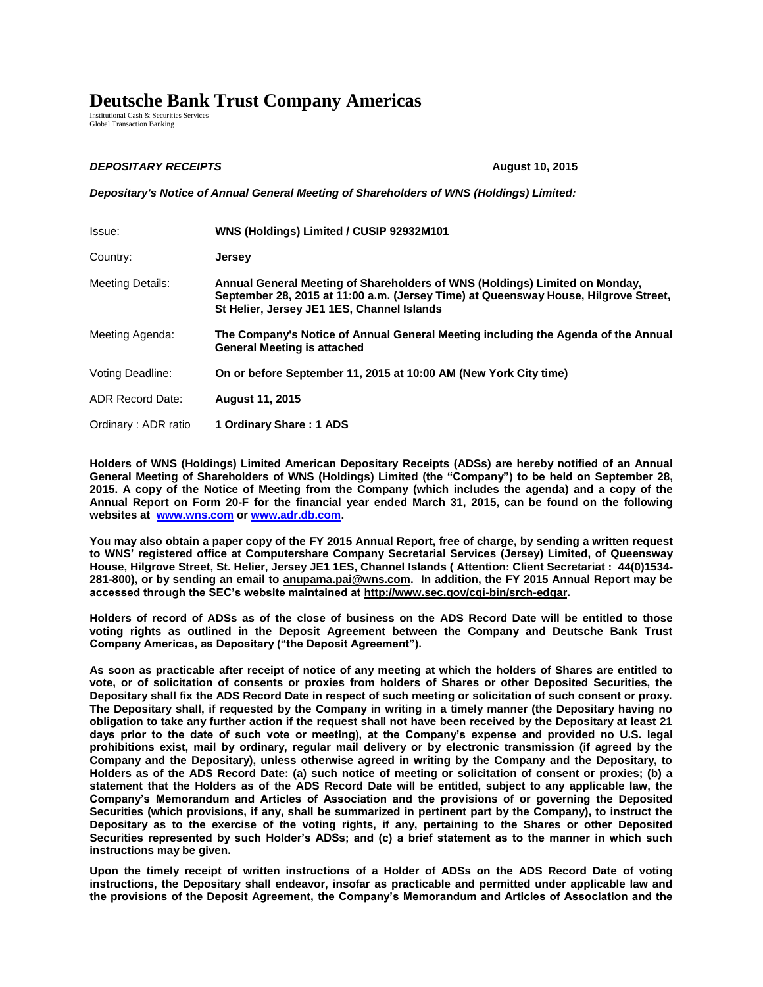## **Deutsche Bank Trust Company Americas**

Institutional Cash & Securities Services Global Transaction Banking

## *DEPOSITARY RECEIPTS* **August 10, 2015**

*Depositary's Notice of Annual General Meeting of Shareholders of WNS (Holdings) Limited:*

| Issue:                  | WNS (Holdings) Limited / CUSIP 92932M101                                                                                                                                                                         |
|-------------------------|------------------------------------------------------------------------------------------------------------------------------------------------------------------------------------------------------------------|
| Country:                | Jersey                                                                                                                                                                                                           |
| Meeting Details:        | Annual General Meeting of Shareholders of WNS (Holdings) Limited on Monday,<br>September 28, 2015 at 11:00 a.m. (Jersey Time) at Queensway House, Hilgrove Street,<br>St Helier, Jersey JE1 1ES, Channel Islands |
| Meeting Agenda:         | The Company's Notice of Annual General Meeting including the Agenda of the Annual<br><b>General Meeting is attached</b>                                                                                          |
| Voting Deadline:        | On or before September 11, 2015 at 10:00 AM (New York City time)                                                                                                                                                 |
| <b>ADR Record Date:</b> | <b>August 11, 2015</b>                                                                                                                                                                                           |
| Ordinary: ADR ratio     | 1 Ordinary Share: 1 ADS                                                                                                                                                                                          |

**Holders of WNS (Holdings) Limited American Depositary Receipts (ADSs) are hereby notified of an Annual General Meeting of Shareholders of WNS (Holdings) Limited (the "Company") to be held on September 28, 2015. A copy of the Notice of Meeting from the Company (which includes the agenda) and a copy of the Annual Report on Form 20-F for the financial year ended March 31, 2015, can be found on the following websites at [www.wns.com](http://www.wnsgs.com/) o[r www.adr.db.com.](http://www.adr.db.com/)** 

**You may also obtain a paper copy of the FY 2015 Annual Report, free of charge, by sending a written request to WNS' registered office at Computershare Company Secretarial Services (Jersey) Limited, of Queensway House, Hilgrove Street, St. Helier, Jersey JE1 1ES, Channel Islands ( Attention: Client Secretariat : 44(0)1534- 281-800), or by sending an email to anupama.pai@wns.com. In addition, the FY 2015 Annual Report may be accessed through the SEC's website maintained at http://www.sec.gov/cgi-bin/srch-edgar.** 

**Holders of record of ADSs as of the close of business on the ADS Record Date will be entitled to those voting rights as outlined in the Deposit Agreement between the Company and Deutsche Bank Trust Company Americas, as Depositary ("the Deposit Agreement").** 

**As soon as practicable after receipt of notice of any meeting at which the holders of Shares are entitled to vote, or of solicitation of consents or proxies from holders of Shares or other Deposited Securities, the Depositary shall fix the ADS Record Date in respect of such meeting or solicitation of such consent or proxy. The Depositary shall, if requested by the Company in writing in a timely manner (the Depositary having no obligation to take any further action if the request shall not have been received by the Depositary at least 21 days prior to the date of such vote or meeting), at the Company's expense and provided no U.S. legal prohibitions exist, mail by ordinary, regular mail delivery or by electronic transmission (if agreed by the Company and the Depositary), unless otherwise agreed in writing by the Company and the Depositary, to Holders as of the ADS Record Date: (a) such notice of meeting or solicitation of consent or proxies; (b) a statement that the Holders as of the ADS Record Date will be entitled, subject to any applicable law, the Company's Memorandum and Articles of Association and the provisions of or governing the Deposited Securities (which provisions, if any, shall be summarized in pertinent part by the Company), to instruct the Depositary as to the exercise of the voting rights, if any, pertaining to the Shares or other Deposited Securities represented by such Holder's ADSs; and (c) a brief statement as to the manner in which such instructions may be given.** 

**Upon the timely receipt of written instructions of a Holder of ADSs on the ADS Record Date of voting instructions, the Depositary shall endeavor, insofar as practicable and permitted under applicable law and the provisions of the Deposit Agreement, the Company's Memorandum and Articles of Association and the**